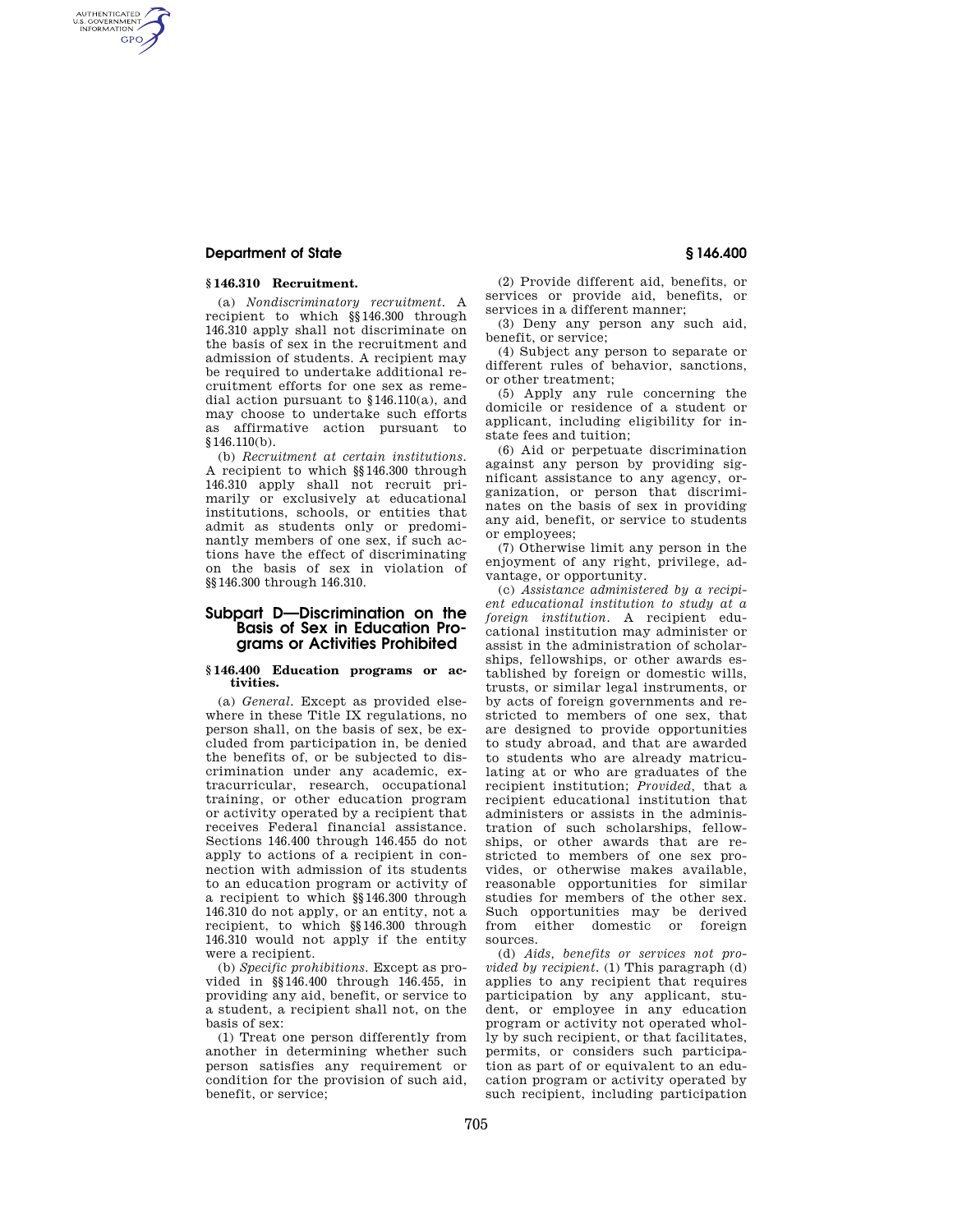### **Department of State § 146.400**

AUTHENTICATED<br>U.S. GOVERNMENT<br>INFORMATION **GPO** 

### **§ 146.310 Recruitment.**

(a) *Nondiscriminatory recruitment.* A recipient to which §§146.300 through 146.310 apply shall not discriminate on the basis of sex in the recruitment and admission of students. A recipient may be required to undertake additional recruitment efforts for one sex as remedial action pursuant to §146.110(a), and may choose to undertake such efforts as affirmative action pursuant to §146.110(b).

(b) *Recruitment at certain institutions.*  A recipient to which §§146.300 through 146.310 apply shall not recruit primarily or exclusively at educational institutions, schools, or entities that admit as students only or predominantly members of one sex, if such actions have the effect of discriminating on the basis of sex in violation of §§146.300 through 146.310.

# **Subpart D—Discrimination on the Basis of Sex in Education Programs or Activities Prohibited**

#### **§ 146.400 Education programs or activities.**

(a) *General.* Except as provided elsewhere in these Title IX regulations, no person shall, on the basis of sex, be excluded from participation in, be denied the benefits of, or be subjected to discrimination under any academic, extracurricular, research, occupational training, or other education program or activity operated by a recipient that receives Federal financial assistance. Sections 146.400 through 146.455 do not apply to actions of a recipient in connection with admission of its students to an education program or activity of a recipient to which §§146.300 through 146.310 do not apply, or an entity, not a recipient, to which §§146.300 through 146.310 would not apply if the entity were a recipient.

(b) *Specific prohibitions.* Except as provided in §§146.400 through 146.455, in providing any aid, benefit, or service to a student, a recipient shall not, on the basis of sex:

(1) Treat one person differently from another in determining whether such person satisfies any requirement or condition for the provision of such aid, benefit, or service;

(2) Provide different aid, benefits, or services or provide aid, benefits, or services in a different manner;

(3) Deny any person any such aid, benefit, or service;

(4) Subject any person to separate or different rules of behavior, sanctions, or other treatment;

(5) Apply any rule concerning the domicile or residence of a student or applicant, including eligibility for instate fees and tuition;

(6) Aid or perpetuate discrimination against any person by providing significant assistance to any agency, organization, or person that discriminates on the basis of sex in providing any aid, benefit, or service to students or employees;

(7) Otherwise limit any person in the enjoyment of any right, privilege, advantage, or opportunity.

(c) *Assistance administered by a recipient educational institution to study at a foreign institution.* A recipient educational institution may administer or assist in the administration of scholarships, fellowships, or other awards established by foreign or domestic wills, trusts, or similar legal instruments, or by acts of foreign governments and restricted to members of one sex, that are designed to provide opportunities to study abroad, and that are awarded to students who are already matriculating at or who are graduates of the recipient institution; *Provided,* that a recipient educational institution that administers or assists in the administration of such scholarships, fellowships, or other awards that are restricted to members of one sex provides, or otherwise makes available, reasonable opportunities for similar studies for members of the other sex. Such opportunities may be derived from either domestic or foreign sources.

(d) *Aids, benefits or services not provided by recipient.* (1) This paragraph (d) applies to any recipient that requires participation by any applicant, student, or employee in any education program or activity not operated wholly by such recipient, or that facilitates, permits, or considers such participation as part of or equivalent to an education program or activity operated by such recipient, including participation